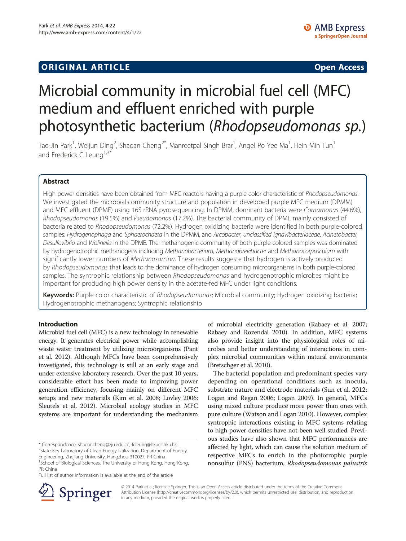## **ORIGINAL ARTICLE CONSUMING A LIGACION** CONSUMING A LIGACION CONSUMING A LIGACION CONSUMING A LIGACION CONSUMING A LIGACION CONSUMING A LIGACION CONSUMING A LIGACION CONSUMING A LIGACION CONSUMING A LIGACION CONSUMING A

# Microbial community in microbial fuel cell (MFC) medium and effluent enriched with purple photosynthetic bacterium (Rhodopseudomonas sp.)

Tae-Jin Park<sup>1</sup>, Weijun Ding<sup>2</sup>, Shaoan Cheng<sup>2\*</sup>, Manreetpal Singh Brar<sup>1</sup>, Angel Po Yee Ma<sup>1</sup>, Hein Min Tun<sup>1</sup> and Frederick C Leung<sup>1,3\*</sup>

## Abstract

High power densities have been obtained from MFC reactors having a purple color characteristic of Rhodopseudomonas. We investigated the microbial community structure and population in developed purple MFC medium (DPMM) and MFC effluent (DPME) using 16S rRNA pyrosequencing. In DPMM, dominant bacteria were Comamonas (44.6%), Rhodopseudomonas (19.5%) and Pseudomonas (17.2%). The bacterial community of DPME mainly consisted of bacteria related to Rhodopseudomonas (72.2%). Hydrogen oxidizing bacteria were identified in both purple-colored samples: Hydrogenophaga and Sphaerochaeta in the DPMM, and Arcobacter, unclassified Ignavibacteriaceae, Acinetobacter, Desulfovibrio and Wolinella in the DPME. The methanogenic community of both purple-colored samples was dominated by hydrogenotrophic methanogens including Methanobacterium, Methanobrevibacter and Methanocorpusculum with significantly lower numbers of *Methanosarcina*. These results suggeste that hydrogen is actively produced by Rhodopseudomonas that leads to the dominance of hydrogen consuming microorganisms in both purple-colored samples. The syntrophic relationship between Rhodopseudomonas and hydrogenotrophic microbes might be important for producing high power density in the acetate-fed MFC under light conditions.

Keywords: Purple color characteristic of Rhodopseudomonas; Microbial community; Hydrogen oxidizing bacteria; Hydrogenotrophic methanogens; Syntrophic relationship

#### Introduction

Microbial fuel cell (MFC) is a new technology in renewable energy. It generates electrical power while accomplishing waste water treatment by utilizing microorganisms (Pant et al. [2012\)](#page-7-0). Although MFCs have been comprehensively investigated, this technology is still at an early stage and under extensive laboratory research. Over the past 10 years, considerable effort has been made to improving power generation efficiency, focusing mainly on different MFC setups and new materials (Kim et al. [2008](#page-6-0); Lovley [2006](#page-7-0); Sleutels et al. [2012\)](#page-7-0). Microbial ecology studies in MFC systems are important for understanding the mechanism

<sup>2</sup>State Key Laboratory of Clean Energy Utilization, Department of Energy Engineering, Zhejiang University, Hangzhou 310027, PR China



The bacterial population and predominant species vary depending on operational conditions such as inocula, substrate nature and electrode materials (Sun et al. [2012](#page-7-0); Logan and Regan [2006](#page-7-0); Logan [2009](#page-7-0)). In general, MFCs using mixed culture produce more power than ones with pure culture (Watson and Logan [2010](#page-7-0)). However, complex syntrophic interactions existing in MFC systems relating to high power densities have not been well studied. Previous studies have also shown that MFC performances are affected by light, which can cause the solution medium of respective MFCs to enrich in the phototrophic purple nonsulfur (PNS) bacterium, Rhodopseudomonas palustris



© 2014 Park et al.; licensee Springer. This is an Open Access article distributed under the terms of the Creative Commons Attribution License (http://creativecommons.org/licenses/by/2.0), which permits unrestricted use, distribution, and reproduction in any medium, provided the original work is properly cited.

<sup>\*</sup> Correspondence: [shaoancheng@zju.edu.cn](mailto:shaoancheng@zju.edu.cn); [fcleung@hkucc.hku.hk](mailto:fcleung@hkucc.hku.hk) <sup>2</sup>

<sup>&</sup>lt;sup>1</sup>School of Biological Sciences, The University of Hong Kong, Hong Kong, PR China

Full list of author information is available at the end of the article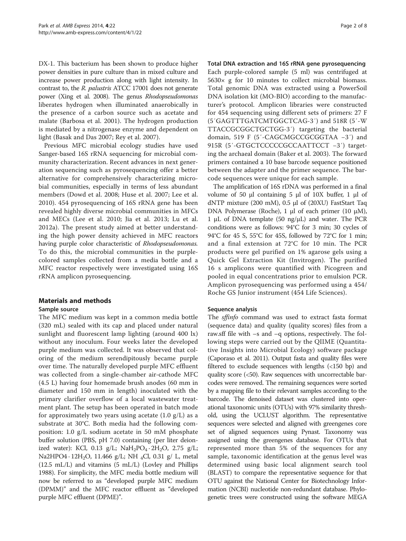DX-1. This bacterium has been shown to produce higher power densities in pure culture than in mixed culture and increase power production along with light intensity. In contrast to, the R. palustris ATCC 17001 does not generate power (Xing et al. [2008\)](#page-7-0). The genus Rhodopseudomonas liberates hydrogen when illuminated anaerobically in the presence of a carbon source such as acetate and malate (Barbosa et al. [2001\)](#page-6-0). The hydrogen production is mediated by a nitrogenase enzyme and dependent on light (Basak and Das [2007](#page-6-0); Rey et al. [2007\)](#page-7-0).

Previous MFC microbial ecology studies have used Sanger-based 16S rRNA sequencing for microbial community characterization. Recent advances in next generation sequencing such as pyrosequencing offer a better alternative for comprehensively characterizing microbial communities, especially in terms of less abundant members (Dowd et al. [2008](#page-6-0); Huse et al. [2007;](#page-6-0) Lee et al. [2010\)](#page-6-0). 454 pyrosequencing of 16S rRNA gene has been revealed highly diverse microbial communities in MFCs and MECs (Lee et al. [2010;](#page-6-0) Jia et al. [2013;](#page-6-0) Lu et al. [2012a](#page-7-0)). The present study aimed at better understanding the high power density achieved in MFC reactors having purple color characteristic of Rhodopseudomonas. To do this, the microbial communities in the purplecolored samples collected from a media bottle and a MFC reactor respectively were investigated using 16S rRNA amplicon pyrosequencing.

#### Materials and methods

#### Sample source

The MFC medium was kept in a common media bottle (320 mL) sealed with its cap and placed under natural sunlight and fluorescent lamp lighting (around 400 lx) without any inoculum. Four weeks later the developed purple medium was collected. It was observed that coloring of the medium serendipitously became purple over time. The naturally developed purple MFC effluent was collected from a single-chamber air-cathode MFC (4.5 L) having four homemade brush anodes (60 mm in diameter and 150 mm in length) inoculated with the primary clarifier overflow of a local wastewater treatment plant. The setup has been operated in batch mode for approximately two years using acetate  $(1.0 \text{ g/L})$  as a substrate at 30°C. Both media had the following composition: 1.0 g/L sodium acetate in 50 mM phosphate buffer solution (PBS, pH 7.0) containing (per liter deionized water): KCl, 0.13 g/L;  $NaH_2PO_4 \tcdot 2H_2O$ , 2.75 g/L; Na2HPO4 ·  $12H_2O$ , 11.466 g/L; NH <sub>4</sub>Cl, 0.31 g/ L, metal (12.5 mL/L) and vitamins (5 mL/L) (Lovley and Phillips [1988\)](#page-7-0). For simplicity, the MFC media bottle medium will now be referred to as "developed purple MFC medium (DPMM)" and the MFC reactor effluent as "developed purple MFC effluent (DPME)".

Total DNA extraction and 16S rRNA gene pyrosequencing Each purple-colored sample (5 ml) was centrifuged at  $5630\times$  g for 10 minutes to collect microbial biomass. Total genomic DNA was extracted using a PowerSoil DNA isolation kit (MO-BIO) according to the manufacturer's protocol. Amplicon libraries were constructed for 454 sequencing using different sets of primers: 27 F (5′GAGTTTGATCMTGGCTCAG-3′) and 518R (5′-W TTACCGCGGCTGCTGG-3′) targeting the bacterial domain, 519 F (5′-CAGCMGCCGCGGTAA −3′) and 915R (5′-GTGCTCCCCCGCCAATTCCT −3′) targeting the archaeal domain (Baker et al. [2003](#page-6-0)). The forward primers contained a 10 base barcode sequence positioned between the adapter and the primer sequence. The barcode sequences were unique for each sample.

The amplification of 16S rDNA was performed in a final volume of 50 μl containing 5 μl of 10X buffer, 1 μl of dNTP mixture (200 mM), 0.5 μl of (20XU) FastStart Taq DNA Polymerase (Roche), 1 μl of each primer (10 μM), 1 μL of DNA template (50 ng/μL) and water. The PCR conditions were as follows: 94°C for 3 min; 30 cycles of 94°C for 45 S, 55°C for 45S, followed by 72°C for 1 min; and a final extension at 72°C for 10 min. The PCR products were gel purified on 1% agarose gels using a Quick Gel Extraction Kit (Invitrogen). The purified 16 s amplicons were quantified with Picogreen and pooled in equal concentrations prior to emulsion PCR. Amplicon pyrosequencing was performed using a 454/ Roche GS Junior instrument (454 Life Sciences).

#### Sequence analysis

The sffinfo command was used to extract fasta format (sequence data) and quality (quality scores) files from a raw.sff file with –s and –q options, respectively. The following steps were carried out by the QIIME (Quantitative Insights into Microbial Ecology) software package (Caporaso et al. [2011](#page-6-0)). Output fasta and quality files were filtered to exclude sequences with lengths (<150 bp) and quality score (<50). Raw sequences with uncorrectable barcodes were removed. The remaining sequences were sorted by a mapping file to their relevant samples according to the barcode. The denoised dataset was clustered into operational taxonomic units (OTUs) with 97% similarity threshold, using the UCLUST algorithm. The representative sequences were selected and aligned with greengenes core set of aligned sequences using Pynast. Taxonomy was assigned using the greengenes database. For OTUs that represented more than 5% of the sequences for any sample, taxonomic identification at the genus level was determined using basic local alignment search tool (BLAST) to compare the representative sequence for that OTU against the National Center for Biotechnology Information (NCBI) nucleotide non-redundant database. Phylogenetic trees were constructed using the software MEGA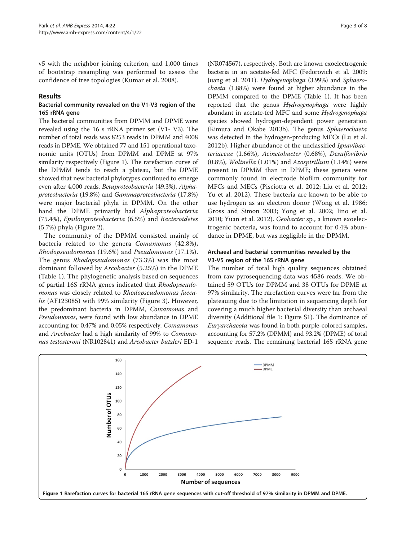v5 with the neighbor joining criterion, and 1,000 times of bootstrap resampling was performed to assess the confidence of tree topologies (Kumar et al. [2008](#page-6-0)).

### Results

### Bacterial community revealed on the V1-V3 region of the 16S rRNA gene

The bacterial communities from DPMM and DPME were revealed using the 16 s rRNA primer set (V1- V3). The number of total reads was 8253 reads in DPMM and 4008 reads in DPME. We obtained 77 and 151 operational taxonomic units (OTUs) from DPMM and DPME at 97% similarity respectively (Figure 1). The rarefaction curve of the DPMM tends to reach a plateau, but the DPME showed that new bacterial phylotypes continued to emerge even after 4,000 reads. Betaproteobacteria (49.3%), Alphaproteobacteria (19.8%) and Gammaproteobacteria (17.8%) were major bacterial phyla in DPMM. On the other hand the DPME primarily had Alphaproteobacteria (75.4%), Epsilonproteobacteria (6.5%) and Bacteroidetes (5.7%) phyla (Figure [2](#page-3-0)).

The community of the DPMM consisted mainly of bacteria related to the genera Comamonas (42.8%), Rhodopseudomonas (19.6%) and Pseudomonas (17.1%). The genus Rhodopseudomonas (73.3%) was the most dominant followed by Arcobacter (5.25%) in the DPME (Table [1](#page-4-0)). The phylogenetic analysis based on sequences of partial 16S rRNA genes indicated that Rhodopseudomonas was closely related to Rhodopseudomonas faecalis (AF123085) with 99% similarity (Figure [3](#page-5-0)). However, the predominant bacteria in DPMM, Comamonas and Pseudomonas, were found with low abundance in DPME accounting for 0.47% and 0.05% respectively. Comamonas and Arcobacter had a high similarity of 99% to Comamonas testosteroni (NR102841) and Arcobacter butzleri ED-1

(NR074567), respectively. Both are known exoelectrogenic bacteria in an acetate-fed MFC (Fedorovich et al. [2009](#page-6-0); Juang et al. [2011](#page-6-0)). Hydrogenophaga (3.99%) and Sphaerochaeta (1.88%) were found at higher abundance in the DPMM compared to the DPME (Table [1\)](#page-4-0). It has been reported that the genus Hydrogenophaga were highly abundant in acetate-fed MFC and some Hydrogenophaga species showed hydrogen-dependent power generation (Kimura and Okabe [2013b](#page-6-0)). The genus Sphaerochaeta was detected in the hydrogen-producing MECs (Lu et al. [2012b\)](#page-7-0). Higher abundance of the unclassified Ignavibacteriaceae (1.66%), Acinetobacter (0.68%), Desulfovibrio  $(0.8\%)$ , *Wolinella*  $(1.01\%)$  and *Azospirillum*  $(1.14\%)$  were present in DPMM than in DPME; these genera were commonly found in electrode biofilm community for MFCs and MECs (Pisciotta et al. [2012;](#page-7-0) Liu et al. [2012](#page-6-0); Yu et al. [2012\)](#page-7-0). These bacteria are known to be able to use hydrogen as an electron donor (Wong et al. [1986](#page-7-0); Gross and Simon [2003](#page-6-0); Yong et al. [2002](#page-7-0); Iino et al. [2010;](#page-6-0) Yuan et al. [2012\)](#page-7-0). Geobacter sp., a known exoelectrogenic bacteria, was found to account for 0.4% abundance in DPME, but was negligible in the DPMM.

## Archaeal and bacterial communities revealed by the V3-V5 region of the 16S rRNA gene

The number of total high quality sequences obtained from raw pyrosequencing data was 4586 reads. We obtained 59 OTUs for DPMM and 38 OTUs for DPME at 97% similarity. The rarefaction curves were far from the plateauing due to the limitation in sequencing depth for covering a much higher bacterial diversity than archaeal diversity (Additional file [1:](#page-6-0) Figure S1). The dominance of Euryarchaeota was found in both purple-colored samples, accounting for 57.2% (DPMM) and 93.2% (DPME) of total sequence reads. The remaining bacterial 16S rRNA gene

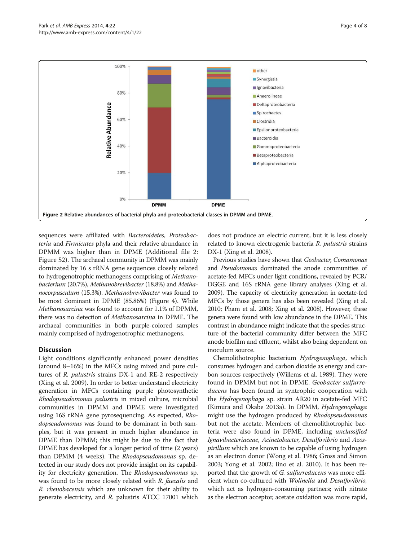<span id="page-3-0"></span>

sequences were affiliated with *Bacteroidetes*, *Proteobac*teria and Firmicutes phyla and their relative abundance in DPMM was higher than in DPME (Additional file [2](#page-6-0): Figure S2). The archaeal community in DPMM was mainly dominated by 16 s rRNA gene sequences closely related to hydrogenotrophic methanogens comprising of Methanobacterium (20.7%), Methanobrevibacter (18.8%) and Methanocorpusculum (15.3%). Methanobrevibacter was found to be most dominant in DPME (85.86%) (Figure [4\)](#page-5-0). While Methanosarcina was found to account for 1.1% of DPMM, there was no detection of Methanosarcina in DPME. The archaeal communities in both purple-colored samples mainly comprised of hydrogenotrophic methanogens.

## **Discussion**

Light conditions significantly enhanced power densities (around 8–16%) in the MFCs using mixed and pure cultures of R. palustris strains DX-1 and RE-2 respectively (Xing et al. [2009](#page-7-0)). In order to better understand electricity generation in MFCs containing purple photosynthetic Rhodopseudomonas palustris in mixed culture, microbial communities in DPMM and DPME were investigated using 16S rRNA gene pyrosequencing. As expected, Rhodopseudomonas was found to be dominant in both samples, but it was present in much higher abundance in DPME than DPMM; this might be due to the fact that DPME has developed for a longer period of time (2 years) than DPMM (4 weeks). The Rhodopseudomonas sp. detected in our study does not provide insight on its capability for electricity generation. The Rhodopseudomonas sp. was found to be more closely related with R. faecalis and R. rhenobacensis which are unknown for their ability to generate electricity, and R. palustris ATCC 17001 which

does not produce an electric current, but it is less closely related to known electrogenic bacteria R. palustris strains DX-1 (Xing et al. [2008](#page-7-0)).

Previous studies have shown that Geobacter, Comamonas and Pseudomonas dominated the anode communities of acetate-fed MFCs under light conditions, revealed by PCR/ DGGE and 16S rRNA gene library analyses (Xing et al. [2009\)](#page-7-0). The capacity of electricity generation in acetate-fed MFCs by those genera has also been revealed (Xing et al. [2010;](#page-7-0) Pham et al. [2008](#page-7-0); Xing et al. [2008](#page-7-0)). However, these genera were found with low abundance in the DPME. This contrast in abundance might indicate that the species structure of the bacterial community differ between the MFC anode biofilm and effluent, whilst also being dependent on inoculum source.

Chemolithotrophic bacterium Hydrogenophaga, which consumes hydrogen and carbon dioxide as energy and carbon sources respectively (Willems et al. [1989\)](#page-7-0). They were found in DPMM but not in DPME. Geobacter sulfurreducens has been found in syntrophic cooperation with the Hydrogenophaga sp. strain AR20 in acetate-fed MFC (Kimura and Okabe [2013a\)](#page-6-0). In DPMM, Hydrogenophaga might use the hydrogen produced by Rhodopseudomonas but not the acetate. Members of chemolithotrophic bacteria were also found in DPME, including unclassified Ignavibacteriaceae, Acinetobacter, Desulfovibrio and Azospirillum which are known to be capable of using hydrogen as an electron donor (Wong et al. [1986;](#page-7-0) Gross and Simon [2003](#page-6-0); Yong et al. [2002](#page-7-0); Iino et al. [2010\)](#page-6-0). It has been reported that the growth of G. sulfurreducens was more efficient when co-cultured with Wolinella and Desulfovibrio, which act as hydrogen-consuming partners; with nitrate as the electron acceptor, acetate oxidation was more rapid,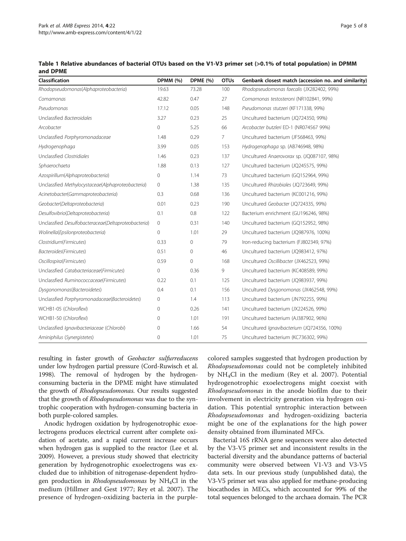<span id="page-4-0"></span>

| Table 1 Relative abundances of bacterial OTUs based on the V1-V3 primer set (>0.1% of total population) in DPMM |  |  |
|-----------------------------------------------------------------------------------------------------------------|--|--|
| and DPME                                                                                                        |  |  |

| Classification                                      | <b>DPMM (%)</b> | <b>DPME</b> (%) | <b>OTUs</b> | Genbank closest match (accession no. and similarity) |
|-----------------------------------------------------|-----------------|-----------------|-------------|------------------------------------------------------|
| Rhodopseudomonas(Alphaproteobacteria)               | 19.63           | 73.28           | 100         | Rhodopseudomonas faecalis (JX282402, 99%)            |
| Comamonas                                           | 42.82           | 0.47            | 27          | Comamonas testosteroni (NR102841, 99%)               |
| Pseudomonas                                         | 17.12           | 0.05            | 148         | Pseudomonas stutzeri (KF171338, 99%)                 |
| Unclassfied Bacteroidales                           | 3.27            | 0.23            | 25          | Uncultured bacterium (JQ724350, 99%)                 |
| Arcobacter                                          | $\mathbf{0}$    | 5.25            | 66          | Arcobacter butzleri ED-1 (NR074567 99%)              |
| Unclassfied Porphyromonadaceae                      | 1.48            | 0.29            | 7           | Uncultured bacterium (JF568463, 99%)                 |
| Hydrogenophaga                                      | 3.99            | 0.05            | 153         | Hydrogenophaga sp. (AB746948, 98%)                   |
| Unclassfied Clostridiales                           | 1.46            | 0.23            | 137         | Uncultured Anaerovorax sp. (JQ087107, 98%)           |
| Sphaerochaeta                                       | 1.88            | 0.13            | 127         | Uncultured bacterium (JQ245575, 99%)                 |
| Azospirillum(Alphaproteobacteria)                   | $\mathbf 0$     | 1.14            | 73          | Uncultured bacterium (GQ152964, 99%)                 |
| Unclassfied Methylocystaceae(Alphaproteobacteria)   | 0               | 1.38            | 135         | Uncultured Rhizobiales (JQ723649, 99%)               |
| Acinetobacter(Gammaproteobacteria)                  | 0.3             | 0.68            | 136         | Uncultured bacterium (KC001216, 99%)                 |
| Geobacter(Deltaproteobacteria)                      | 0.01            | 0.23            | 190         | Uncultured Geobacter (JQ724335, 99%)                 |
| Desulfovibrio(Deltaproteobacteria)                  | 0.1             | 0.8             | 122         | Bacterium enrichment (GU196246, 98%)                 |
| Unclassfied Desulfobacteraceae(Deltaproteobacteria) | $\mathbf{0}$    | 0.31            | 140         | Uncultured bacterium (GQ152952, 98%)                 |
| Wolinella(Epsilonproteobacteria)                    | $\mathbf{0}$    | 1.01            | 29          | Uncultured bacterium (JQ987976, 100%)                |
| Clostridium(Firmicutes)                             | 0.33            | $\mathbf{0}$    | 79          | Iron-reducing bacterium (FJ802349, 97%)              |
| Bacteroides(Firmicutes)                             | 0.51            | $\mathbf{0}$    | 46          | Uncultured bacterium (JQ983412, 97%)                 |
| Oscillospira(Firmicutes)                            | 0.59            | $\mathbf{0}$    | 168         | Uncultured Oscillibacter (JX462523, 99%)             |
| Unclassfied Catabacteriaceae(Firmicutes)            | $\mathbf{0}$    | 0.36            | 9           | Uncultured bacterium (KC408589, 99%)                 |
| Unclassfied Ruminococcaceae(Firmicutes)             | 0.22            | 0.1             | 125         | Uncultured bacterium (JQ983937, 99%)                 |
| Dysgonomonas(Bacteroidetes)                         | 0.4             | 0.1             | 156         | Uncultured Dysgonomonas (JX462548, 99%)              |
| Unclassfied Porphyromonadaceae(Bacteroidetes)       | $\mathbf{0}$    | 1.4             | 113         | Uncultured bacterium (JN792255, 99%)                 |
| WCHB1-05 (Chloroflexi)                              | $\mathbf{0}$    | 0.26            | 141         | Uncultured bacterium (JX224526, 99%)                 |
| WCHB1-50 (Chloroflexi)                              | $\Omega$        | 1.01            | 191         | Uncultured bacterium (AJ387902, 96%)                 |
| Unclassfied Ignavibacteriaceae (Chlorobi)           | $\mathbf{0}$    | 1.66            | 54          | Uncultured Ignavibacterium (JQ724356, 100%)          |
| Aminiphilus (Synergistetes)                         | $\mathbf 0$     | 1.01            | 75          | Uncultured bacterium (KC736302, 99%)                 |

resulting in faster growth of Geobacter sulfurreducens under low hydrogen partial pressure (Cord-Ruwisch et al. [1998\)](#page-6-0). The removal of hydrogen by the hydrogenconsuming bacteria in the DPME might have stimulated the growth of Rhodopseudomonas. Our results suggested that the growth of Rhodopseudomonas was due to the syntrophic cooperation with hydrogen-consuming bacteria in both purple-colored samples.

Anodic hydrogen oxidation by hydrogenotrophic exoelectrogens produces electrical current after complete oxidation of acetate, and a rapid current increase occurs when hydrogen gas is supplied to the reactor (Lee et al. [2009\)](#page-6-0). However, a previous study showed that electricity generation by hydrogenotrophic exoelectrogens was excluded due to inhibition of nitrogenase-dependent hydrogen production in *Rhodopseudomonas* by  $NH<sub>4</sub>Cl$  in the medium (Hillmer and Gest [1977;](#page-6-0) Rey et al. [2007](#page-7-0)). The presence of hydrogen-oxidizing bacteria in the purple-

colored samples suggested that hydrogen production by Rhodopseudomonas could not be completely inhibited by NH4Cl in the medium (Rey et al. [2007](#page-7-0)). Potential hydrogenotrophic exoelectrogens might coexist with Rhodopseudomonas in the anode biofilm due to their involvement in electricity generation via hydrogen oxidation. This potential syntrophic interaction between Rhodopseudomonas and hydrogen-oxidizing bacteria might be one of the explanations for the high power density obtained from illuminated MFCs.

Bacterial 16S rRNA gene sequences were also detected by the V3-V5 primer set and inconsistent results in the bacterial diversity and the abundance patterns of bacterial community were observed between V1-V3 and V3-V5 data sets. In our previous study (unpublished data), the V3-V5 primer set was also applied for methane-producing biocathodes in MECs, which accounted for 99% of the total sequences belonged to the archaea domain. The PCR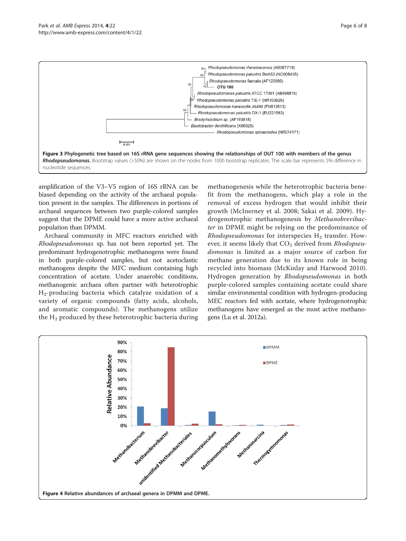<span id="page-5-0"></span>

amplification of the V3–V5 region of 16S rRNA can be biased depending on the activity of the archaeal population present in the samples. The differences in portions of archaeal sequences between two purple-colored samples suggest that the DPME could have a more active archaeal population than DPMM.

Archaeal community in MFC reactors enriched with Rhodopseudomonas sp. has not been reported yet. The predominant hydrogenotrophic methanogens were found in both purple-colored samples, but not acetoclastic methanogens despite the MFC medium containing high concentration of acetate. Under anaerobic conditions, methanogenic archaea often partner with heterotrophic H2-producing bacteria which catalyze oxidation of a variety of organic compounds (fatty acids, alcohols, and aromatic compounds). The methanogens utilize the H<sub>2</sub> produced by these heterotrophic bacteria during

methanogenesis while the heterotrophic bacteria benefit from the methanogens, which play a role in the removal of excess hydrogen that would inhibit their growth (McInerney et al. [2008](#page-7-0); Sakai et al. [2009](#page-7-0)). Hydrogenotrophic methanogenesis by Methanobrevibacter in DPME might be relying on the predominance of Rhodopseudomonas for interspecies  $H_2$  transfer. However, it seems likely that  $CO<sub>2</sub>$  derived from Rhodopseudomonas is limited as a major source of carbon for methane generation due to its known role in being recycled into biomass (McKinlay and Harwood [2010](#page-7-0)). Hydrogen generation by Rhodopseudomonas in both purple-colored samples containing acetate could share similar environmental condition with hydrogen-producing MEC reactors fed with acetate, where hydrogenotrophic methanogens have emerged as the most active methanogens (Lu et al. [2012a\)](#page-7-0).

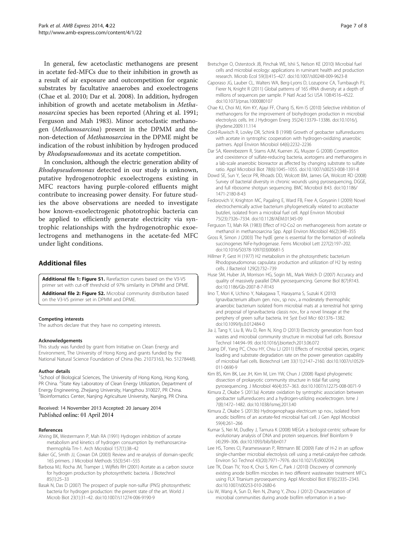<span id="page-6-0"></span>In general, few acetoclastic methanogens are present in acetate fed-MFCs due to their inhibition in growth as a result of air exposure and outcompetition for organic substrates by facultative anaerobes and exoelectrogens (Chae et al. 2010; Dar et al. 2008). In addition, hydrogen inhibition of growth and acetate metabolism in Methanosarcina species has been reported (Ahring et al. 1991; Ferguson and Mah 1983). Minor acetoclastic methanogen (Methanosarcina) present in the DPMM and the non-detection of Methanosarcina in the DPME might be indication of the robust inhibition by hydrogen produced by Rhodopseudomonas and its acetate competition.

In conclusion, although the electric generation ability of Rhodopseudomonas detected in our study is unknown, putative hydrogenotrophic exoelectrogens existing in MFC reactors having purple-colored effluents might contribute to increasing power density. For future studies the above observations are needed to investigate how known-exoelectrogenic phototrophic bacteria can be applied to efficiently generate electricity via syntrophic relationships with the hydrogenotrophic exoelectrogens and methanogens in the acetate-fed MFC under light conditions.

## Additional files

[Additional file 1: Figure S1.](http://www.biomedcentral.com/content/supplementary/13568_2014_22_MOESM1_ESM.jpg) Rarefaction curves based on the V3-V5 primer set with cut-off threshold of 97% similarity in DPMM and DPME. [Additional file 2: Figure S2.](http://www.biomedcentral.com/content/supplementary/13568_2014_22_MOESM2_ESM.jpg) Microbial community distribution based on the V3-V5 primer set in DPMM and DPME.

#### Competing interests

The authors declare that they have no competing interests.

#### Acknowledgements

This study was funded by grant from Initiative on Clean Energy and Environment, The University of Hong Kong and grants funded by the National Natural Science Foundation of China (No. 21073163, No. 51278448).

#### Author details

<sup>1</sup>School of Biological Sciences, The University of Hong Kong, Hong Kong, PR China. <sup>2</sup> State Key Laboratory of Clean Energy Utilization, Department of Energy Engineering, Zhejiang University, Hangzhou 310027, PR China. <sup>3</sup> Bioinformatics Center, Nanjing Agriculture University, Nanjing, PR China.

#### Received: 14 November 2013 Accepted: 20 January 2014 Published online: 01 April 2014

#### References

- Ahring BK, Westermann P, Mah RA (1991) Hydrogen inhibition of acetate metabolism and kinetics of hydrogen consumption by methanosarcinathermophila Tm-1. Arch Microbiol 157(1):38–42
- Baker GC, Smith JJ, Cowan DA (2003) Review and re-analysis of domain-specific 16S primers. J Microbiol Methods 55(3):541–555
- Barbosa MJ, Rocha JM, Tramper J, Wijffels RH (2001) Acetate as a carbon source for hydrogen production by photosynthetic bacteria. J Biotechnol 85(1):25–33
- Basak N, Das D (2007) The prospect of purple non-sulfur (PNS) photosynthetic bacteria for hydrogen production: the present state of the art. World J Microb Biot 23(1):31–42. doi:10.1007/s11274-006-9190-9
- Bretschger O, Osterstock JB, Pinchak WE, Ishii S, Nelson KE (2010) Microbial fuel cells and microbial ecology: applications in ruminant health and production research. Microb Ecol 59(3):415–427. doi:10.1007/s00248-009-9623-8
- Caporaso JG, Lauber CL, Walters WA, Berg-Lyons D, Lozupone CA, Turnbaugh PJ, Fierer N, Knight R (2011) Global patterns of 16S rRNA diversity at a depth of millions of sequences per sample. P Natl Acad Sci USA 108:4516–4522. doi:10.1073/pnas.1000080107
- Chae KJ, Choi MJ, Kim KY, Ajayi FF, Chang IS, Kim IS (2010) Selective inhibition of methanogens for the improvement of biohydrogen production in microbial electrolysis cells. Int J Hydrogen Energ 35(24):13379–13386. doi:10.1016/j. ijhydene.2009.11.114
- Cord-Ruwisch R, Lovley DR, Schink B (1998) Growth of geobacter sulfurreducens with acetate in syntrophic cooperation with hydrogen-oxidizing anaerobic partners. Appl Environ Microbiol 64(6):2232–2236
- Dar SA, Kleerebezem R, Stams AJM, Kuenen JG, Muyzer G (2008) Competition and coexistence of sulfate-reducing bacteria, acetogens and methanogens in a lab-scale anaerobic bioreactor as affected by changing substrate to sulfate ratio. Appl Microbiol Biot 78(6):1045–1055. doi:10.1007/s00253-008-1391-8
- Dowd SE, Sun Y, Secor PR, Rhoads DD, Wolcott BM, James GA, Wolcott RD (2008) Survey of bacterial diversity in chronic wounds using pyrosequencing, DGGE, and full ribosome shotgun sequencing. BMC Microbiol 8:43. doi:10.1186/ 1471-2180-8-43
- Fedorovich V, Knighton MC, Pagaling E, Ward FB, Free A, Goryanin I (2009) Novel electrochemically active bacterium phylogenetically related to arcobacter butzleri, isolated from a microbial fuel cell. Appl Environ Microbiol 75(23):7326–7334. doi:10.1128/AEM.01345-09
- Ferguson TJ, Mah RA (1983) Effect of H2-Co2 on methanogenesis from acetate or methanol in methanosarcina Spp. Appl Environ Microbiol 46(2):348–355
- Gross R, Simon J (2003) The hydE gene is essential for the formation of wolinella succinogenes NiFe-hydrogenase. Fems Microbiol Lett 227(2):197–202. doi:10.1016/S0378-1097(03)00681-5
- Hillmer P, Gest H (1977) H2 metabolism in the photosynthetic bacterium Rhodopseudomonas capsulata: production and utilization of H2 by resting cells. J Bacteriol 129(2):732–739
- Huse SM, Huber JA, Morrison HG, Sogin ML, Mark Welch D (2007) Accuracy and quality of massively parallel DNA pyrosequencing. Genome Biol 8(7):R143. doi:10.1186/Gb-2007-8-7-R143
- Iino T, Mori K, Uchino Y, Nakagawa T, Harayama S, Suzuki K (2010) Ignavibacterium album gen. nov., sp nov., a moderately thermophilic anaerobic bacterium isolated from microbial mats at a terrestrial hot spring and proposal of Ignavibacteria classis nov., for a novel lineage at the periphery of green sulfur bacteria. Int Syst Evol Micr 60:1376–1382. doi:10.1099/Ijs.0.012484-0
- Jia J, Tang Y, Liu B, Wu D, Ren N, Xing D (2013) Electricity generation from food wastes and microbial community structure in microbial fuel cells. Bioresour Technol 144:94–99. doi:10.1016/j.biortech.2013.06.072
- Juang DF, Yang PC, Chou HY, Chiu LJ (2011) Effects of microbial species, organic loading and substrate degradation rate on the power generation capability of microbial fuel cells. Biotechnol Lett 33(11):2147–2160. doi:10.1007/s10529- 011-0690-9
- Kim BS, Kim BK, Lee JH, Kim M, Lim YW, Chun J (2008) Rapid phylogenetic dissection of prokaryotic community structure in tidal flat using pyrosequencing. J Microbiol 46(4):357–363. doi:10.1007/s12275-008-0071-9
- Kimura Z, Okabe S (2013a) Acetate oxidation by syntrophic association between geobacter sulfurreducens and a hydrogen-utilizing exoelectrogen. Isme J 7(8):1472–1482. doi:10.1038/ismej.2013.40
- Kimura Z, Okabe S (2013b) Hydrogenophaga electricum sp nov., isolated from anodic biofilms of an acetate-fed microbial fuel cell. J Gen Appl Microbiol 59(4):261–266
- Kumar S, Nei M, Dudley J, Tamura K (2008) MEGA: a biologist-centric software for evolutionary analysis of DNA and protein sequences. Brief Bioinform 9 (4):299–306. doi:10.1093/bib/bbn017
- Lee HS, Torres CI, Parameswaran P, Rittmann BE (2009) Fate of H-2 in an upflow single-chamber microbial electrolysis cell using a metal-catalyst-free cathode. Environ Sci Technol 43(20):7971–7976. doi:10.1021/Es900204j
- Lee TK, Doan TV, Yoo K, Choi S, Kim C, Park J (2010) Discovery of commonly existing anode biofilm microbes in two different wastewater treatment MFCs using FLX Titanium pyrosequencing. Appl Microbiol Biot 87(6):2335–2343. doi:10.1007/s00253-010-2680-6
- Liu W, Wang A, Sun D, Ren N, Zhang Y, Zhou J (2012) Characterization of microbial communities during anode biofilm reformation in a two-